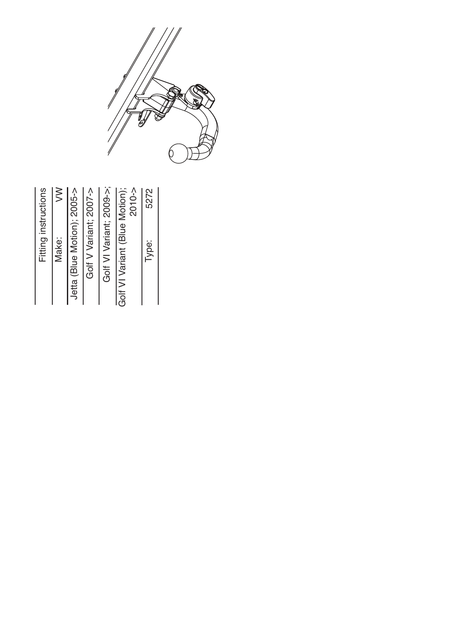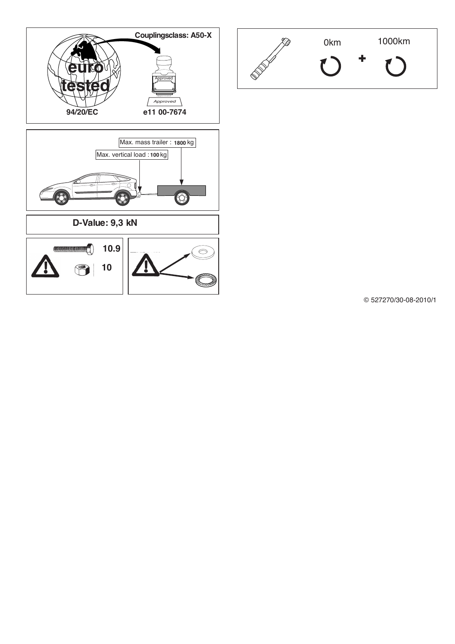



© 527270/30-08-2010/1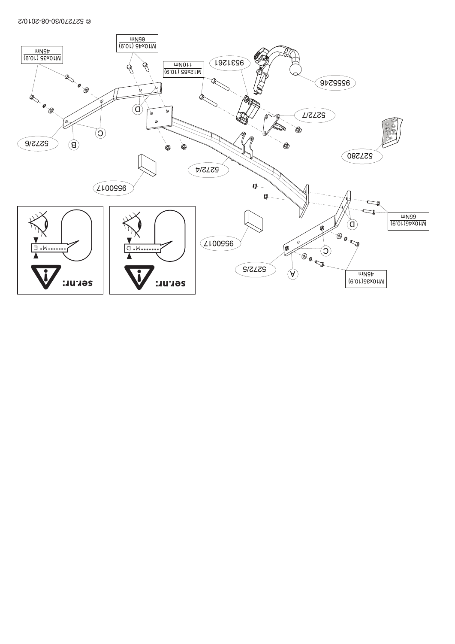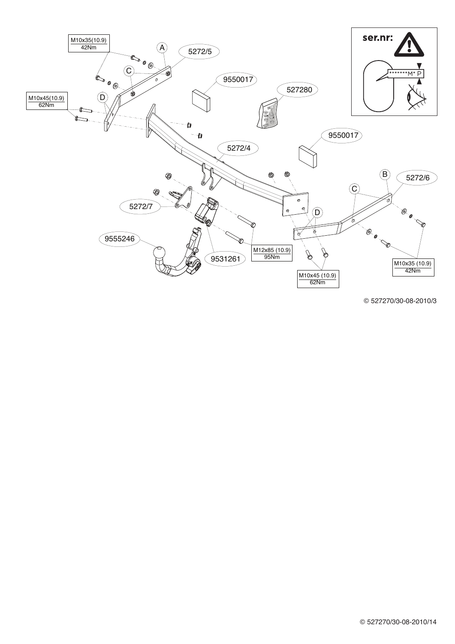

© 527270/30-08-2010/3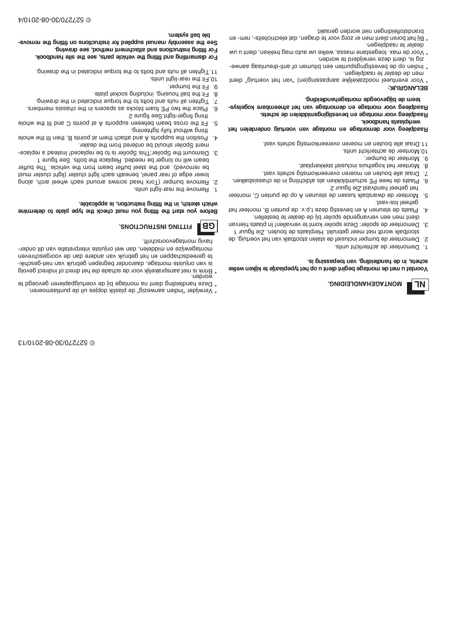31/ 0102- 80- 03/ 072725 ©

brandstofleidingen niet worden geraakt.

- dealer te raadplegen. \* Bij het boren dient men er zorg voor te dragen, dat electriciteits-, rem- en
- zig is, dient deze verwijderd te worden. Voor de max. toegestane massa, welke uw auto mag trekken, dient u uw
- men de dealer te raadplegen. - e waien ob de pevestigingspriegen een pitumen of anti-drainente-
- **BELANGRIJK:** t Voor eventueel noodzakelijke aanoasaduse ekjil ekazoonl eeut never voov

# **. gni di el dnahegat no medgeovegji b ed meet**

**. st ehcs ed nel eddi msgni git seveb ne egat no mr oov geel pdaa R - sysl egok er ab meenf at eh nav egat no med ne egat no mr oov geel pdaa R**

**. keobdnah st aal pkr <sup>e</sup> w**

**t eh nel edr edno gi utr eov nav egat no m ne egat no med r oov geel pdaa R**

11. Draai alle bouten en moeren overeenkomstig schete vast.

- . ctinu tricht de achterlicht units.
	- 9. Monteer de bumper.
- 8. Monteer het kogelhuis inclusiet stekkerplaat.
- 6. Plaats de twee PE schuimblokken als afdichting in de chassisbalken. 7. Draai alle bouten en moeren overeenkomstig schets vast.
	-
- 5. Monteer de dwarsbalk tussen de steunen A op de punten C, monteer het geheel handvast. Zie figuur 2
	- - .tasv-sol leeneg
- 4. Plaats de steunen A en bevestig deze t.p.v. qe per nen aan het
- dient men een vervangende spoiler bij de dealer te bestellen.
- 3. Demonteer de spoiler: Deze spoiler komt te vervallen! In plaats hiervan
- 
- stootbalk wordt niet meer gebruikt. Herplaats de bouten. Zie tiguur 1
- -
- 2. Demonteer de bumper inclusief de stalen stootbalk van het voertuig, de
	-
	- 1. Demonteer de achterlicht units.
		-

# **. si gni ssapeot nav, gni di el dnah ed ni , st ehcs**

**LN**

# Voordat u met de montage begint dient u op het typeplaatje te kijken welke

**. GNI DI ELDNAHEGATNOM**

- 
- 

- 
- 
- 
- 
- 
- te gereedschappen en het gebruik van andere dan de voorgeschreven

**BG**

worden. \* Brink is niet aansprakelijk voor de schade die het direct of indirect gevolg is van onjuiste montage, daaronder begrepen gebruik van niet-geschik-

montagewijze en middelen, dan wel onjuiste interpretatiev van dit onder-

Before you start the fitting you must check the type paiste to determine

2. Remove bumper (Torx head screws around each wheel arch, along lower edge of rear panel, beneath each light cluster (light cluster must be removed). and the steel buffer beam from the vehicle. The buffer beam will no longer be needed. Replace the bolts. See figure 1 3. Dismount the Spoiler: This Spoiler is to be replaced! Instead a replace-

4. Position the supports A and a mehr home is a mehr and it the whole

elohw eht tit bna C strioq ta A stroqque neewted maed seoro ent til . 3

6. Place the two PE foam blocks as abacers in the chassis members. . Tighter a limi betacioni euprot ent ot alled bus dui la net difficing.

. gniwarb edt ni betsoibni euprot edt ot allod bns atun lla net dpiT. I t **. koobdnah eti <sup>s</sup> eht ees, str ap el ci hev eht gnittif dna gnilt na msi dr oF . gni war d ees, doht <sup>e</sup> mt ne mhcatt <sup>a</sup> dna snoit curt sni gnittif r oF**

**- avo mer eht gnittif no snoit curt sni <sup>r</sup> of deil ppusl auna myl b messa eht eeS**

**FITTING INSTRUCTIONS.** 

1. Remove the rear-light units.

havig montagevoorschrift.

. gninethgit yllut tuodtiw gnint

ting finger-tight. See figure 2

 $9.$  Fit the bumper. 10. Fit the rear-light units.

**. met sysll ab el b**

8. Fit the ball housing, including socket plate.

**. el bacil ppa si , noit curt sni gnittif eht ni , hct eks hci hw**

ment Spoiler should be ordered from the dealer.

- et per paple ner bei pap gren en der hoofd papagie en die over de dood de papagie
- 
- \* Verwijder "indien aanwezig" de plastik dopjes uit de puntlasmoeren.
- 
- 
- 
- 
- 
- 
- 
- 
- 
- 
- 
- 
- 
-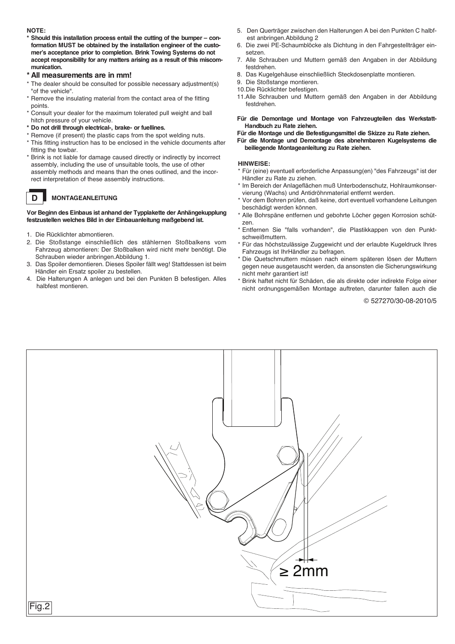# **NOTE:**

**D**

- **\* Should this installation process entail the cutting of the bumper – conformation MUST be obtained by the installation engineer of the customer's acceptance prior to completion. Brink Towing Systems do not accept responsibility for any matters arising as <sup>a</sup> result of this miscommunication.**
- **\* All measurements are in mm!**
- \* The dealer should be consulted for possible necessary adjustment(s) "of the vehicle".
- \* Remove the insulating material from the contact area of the fitting points.
- \* Consult your dealer for the maximum tolerated pull weight and ball hitch pressure of your vehicle.
- **\* Do not drill through electrical-, brake- or fuellines.**
- \* Remove (if present) the plastic caps from the spot welding nuts.
- \* This fitting instruction has to be enclosed in the vehicle documents after fitting the towbar.
- \* Brink is not liable for damage caused directly or indirectly by incorrect assembly, including the use of unsuitable tools, the use of other assembly methods and means than the ones outlined, and the incorrect interpretation of these assembly instructions.

# **MONTAGEANLEITUNG**

# **Vor Beginn des Einbaus ist anhand der Typplakette der Anhängekupplung festzustellen welches Bild in der Einbauanleitung maßgebend ist.**

- 1. Die Rücklichter abmontieren.
- 2. Die Stoßstange einschließlich des stählernen Stoßbalkens vom Fahrzeug abmontieren: Der Stoßbalken wird nicht mehr benötigt. Die Schrauben wieder anbringen.Abbildung 1.
- 3. Das Spoiler demontieren. Dieses Spoiler fällt weg! Stattdessen ist beim Händler ein Ersatz spoiler zu bestellen.
- 4. Die Halterungen A anlegen und bei den Punkten B befestigen. Alles halbfest montieren.
- 5. Den Querträger zwischen den Halterungen A bei den Punkten C halbfest anbringen.Abbildung 2
- 6. Die zwei PE-Schaumblöcke als Dichtung in den Fahrgestellträger einsetzen.
- 7. Alle Schrauben und Muttern gemäß den Angaben in der Abbildung festdrehen.
- 8. Das Kugelgehäuse einschließlich Steckdosenplatte montieren.
- 9. Die Stoßstange montieren.
- 10.Die Rücklichter befestigen.
- 11.Alle Schrauben und Muttern gemäß den Angaben in der Abbildung festdrehen.

**Für die Demontage und Montage von Fahrzeugteilen das Werkstatt-Handbuch zu Rate ziehen.**

**Für die Montage und die Befestigungsmittel die Skizze zu Rate ziehen.**

**Für die Montage und Demontage des abnehmbaren Kugelsystems die beiliegende Montageanleitung zu Rate ziehen.**

# **HINWEISE:**

- \* Für (eine) eventuell erforderliche Anpassung(en) "des Fahrzeugs" ist der Händler zu Rate zu ziehen.
- \* Im Bereich der Anlageflächen muß Unterbodenschutz, Hohlraumkonservierung (Wachs) und Antidröhnmaterial entfernt werden.
- \* Vor dem Bohren prüfen, daß keine, dort eventuell vorhandene Leitungen beschädigt werden können.
- \* Alle Bohrspäne entfernen und gebohrte Löcher gegen Korrosion schützen
- \* Entfernen Sie "falls vorhanden", die Plastikkappen von den Punktschweißmuttern.
- \* Für das höchstzulässige Zuggewicht und der erlaubte Kugeldruck Ihres Fahrzeugs ist IhrHändler zu befragen.
- \* Die Quetschmuttern müssen nach einem späteren lösen der Muttern gegen neue ausgetauscht werden, da ansonsten die Sicherungswirkung nicht mehr garantiert ist!
- \* Brink haftet nicht für Schäden, die als direkte oder indirekte Folge einer nicht ordnungsgemäßen Montage auftreten, darunter fallen auch die

© 527270/30-08-2010/5

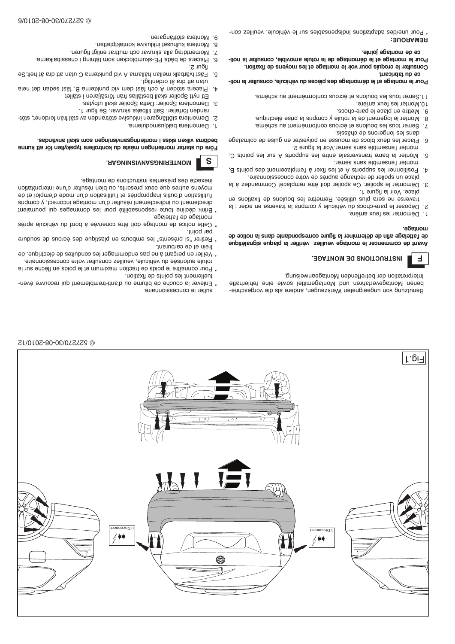@ 527270/30-08-2010/6

@ 527270/30-08-2010/12

Montera kulhuset inklusive kontaktplattan.

3. Demontera Spoiler: Detta Spoiler skall utbytas.

**RADUINSIVIASDUIRETIOM** 

inexacte des présentes instructions de montage.

randen förfaller. Sätt tillbaka skruvar. Se figur 1.

Momentdrag alla skruvar och muttrar enligt figuren.

Ett nytt Spoiler skall beställas från försäljaren i stället

Placera de båda PE-skumblocken som tätning i chassibalkarna.

92.1led tå stb tta natu O smetxhuq biv A smallåd nallem xladtävt taä-1

4. Placera stöden A och fäst dem vid punkterna B, fäst sedan det hela

2. Demontera stötfångaren inklusive stötranden av stål från fordonet, stöt-

Före du startar monteringen måste du kontrollera typskylten för att kunna

moyens autres que ceux prescrits, ou bien résulter d'une interprétation

eb te iolqme'b ebom nu'b noitsailitu'l te zèinqonqqani alituo'b noitsailitu'l

directement ou indirectement résulter d'un montage incorrect, y compris

\* Brink décline toute responsabilité pour les dommages qui pourraient

\* Cette notice de montage doit être conervée à bord ub véhicule après

\* Retirer "si présents" les embouts en plastique des écrous de soudure

\* Veiller en perçant à ne pas endommager les conduites de électrique, de

rotule autorisée du véhicule, veuillez consulter votre concessionnaire. \* Pour connaître le poids de traction maximum et le poids en flèche sur la

\* Enlever la couche de bitume ou d'anti-tremblement qui recouvre éven-

.asbnävns lls»le moz negnineivnsegnineinom i esi»le nexiliv smöbed

٠8.

 $\cdot_L$ 

٠g

٠Ğ

in L

**S** 

ugur z:

tigiltnebno tå snb tta natu

Demontera bakljusmodulerna.

montage de l'attelage.

frein et de carburant.

tuellement les points de fixation.

sulter le concessionnaire.

bar point.

uourage<sup>.</sup>

E.

Γ.pi⊣

# ce de montage jointe.

Pour le montage et le démontage de la rotule amovible, consulter la noti-Consulter le croquis pour voir le montage et les moyens de fixation.

## ce qu fabricant. Pour le montage et le démontage des pièces du véhicule, consulter la noti-

- - .smèrious us triemèriones et écrous conformément au schéma.
		- 10. Monter les feux arrière.
			-
		- 9. Mettre en place le pare-chocs.
	- 8. Monter le logement de la rotule y compris la prise électrique.

**INSTRUCTIONS DE MONTAGE.** 

Interpretation der betreffenden Montageanweisung.

- 
- 7. Serrer tous les boulons et écrous conformément au schéma.
	- aisendo eb anonegnol ael anab
- 6. Placer les deux blocs de mousse en polyester en guise de colmatage monter l'ensemble sans serrer. Voir la figure 2.
- Monter la barre transversale entre les supports A sur les points C, و·
- monter l'ensemble sans serrer. Positionner les supports A set les fixer à l'emplacement des points B,  $\mathbf{r}$
- place un spoiler de rechange auprès de votre concessionnaire.
- 3. Démonter le spoiler: Ce spoiler doit être remplacé! Commandez à la place. Voir la figure 1.
- 
- 
- 
- traverse ne sera plus utilisée. Remettre les boulons de fixations en
- 
- 
- 
- 
- 

de l'attelage afin de déterminer la figure correspondante dans la notice de

Avant de commencer le montage veuillez vérifier la plaque signalétique

benen Montageverfahren und Montagemittel sowie eine fehlerhafte

Benutzung von ungeeignehen Werkzeugen, andere als die vorgeschrie-

- 
- 
- 
- 
- ٠L
- 
- 2. Déposer le pare-chocs du véhicule y compris la traverse en acier ; la
- 
- 
- 
- 
- 
- 
- Démonter les feux arrière.
-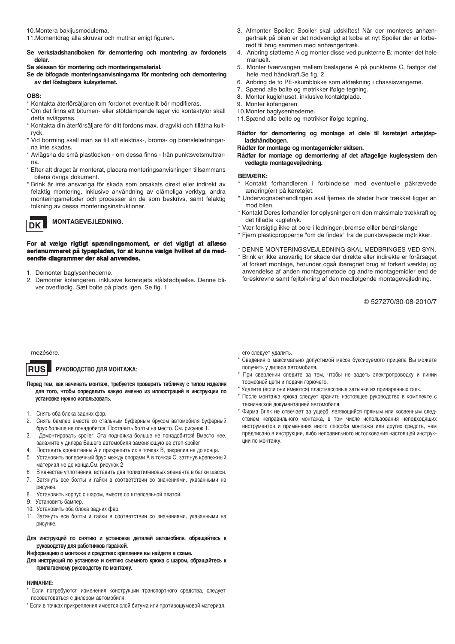10.Montera bakljusmodulerna.

- 11.Momentdrag alla skruvar och muttrar enligt figuren.
- **Se verkstadshandboken för demontering och montering av fordonets delar.**

**Se skissen för montering och monteringsmaterial.**

**Se de bifogade monteringsanvisningarna för montering och demontering av det löstagbara kulsystemet.**

## **OBS:**

\* Kontakta återförsäljaren om fordonet eventuellt bör modifieras.

- \* Om det finns ett bitumen- eller stötdämpande lager vid kontaktytor skall detta avlägsnas.
- \* Kontakta din återförsäljare för ditt fordons max. dragvikt och tillåtna kultryck.
- \* Vid borrning skall man se till att elektrisk-, broms- og bränsleledningarna inte skadas.
- \* Avlägsna de små plastlocken om dessa finns från punktsvetsmuttrarna.
- \* Efter att draget är monterat, placera monteringsanvisningen tillsammans bilens övriga dokument.
- \* Brink är inte ansvariga för skada som orsakats direkt eller indirekt av felaktig montering, inklusive användning av olämpliga verktyg, andra monteringsmetoder och processer än de som beskrivs, samt felaktig tolkning av dessa monteringsinstruktioner.



# **MONTAGEVEJLEDNING.**

# **For at vælge rigtigt spændingsmoment, er det vigtigt at aflæse serienummeret på typepladen, for at kunne vælge hvilket af de medsendte diagrammer der skal anvendes.**

- 1. Demonter baglysenhederne.
- 2. Demonter kofangeren, inklusive køretøjets stålstødbjælke. Denne bliver overflødig. Sæt bolte på plads igen. Se fig. <sup>1</sup>
- 3. Afmonter Spoiler: Spoiler skal udskiftes! Når der monteres anhængertræk på bilen er det nødvendigt at købe et nyt Spoiler der er forberedt til brug sammen med anhængertræk.
- 4. Anbring støtterne A og monter disse ved punkterne B; monter det hele manuelt.
- 5. Monter tværvangen mellem beslagene A på punkterne C, fastgør det hele med håndkraft.Se fig. <sup>2</sup>
- 6. Anbring de to PE-skumblokke som afdækning i chassisvangerne.
- 7. Spænd alle bolte og møtrikker ifølge tegning.
- 8. Monter kuglehuset, inklusive kontaktplade.
- 9. Monter kofangeren.
- 10.Monter baglysenhederne.
- 11.Spænd alle bolte og møtrikker ifølge tegning.
- **Rådfør for demontering og montage af dele til køretøjet arbejdspladshåndbogen.**

**Rådfør for montage og montagemidler skitsen.**

**Rådfør for montage og demontering af det aftagelige kuglesystem den vedlagte montagevejledning.**

## **BEMÆRK:**

- \* Kontakt forhandleren i forbindelse med eventuelle påkrævede ændring(er) på køretøjet.
- \* Undervognsbehandlingen skal fjernes de steder hvor trækket ligger an mod bilen.
- \* Kontakt Deres forhandler for oplysninger om den maksimale trækkraft og det tilladte kugletryk.
	- \* Vær forsigtig ikke at bore i ledninger-,bremse elller benzinslange
	- \* Fjern plasticpropperne "om de findes" fra de punktsvejsede m¢trikker.
	- \* DENNE MONTERINGSVEJLEDNING SKAL MEDBRINGES VED SYN.
	- \* Brink er ikke ansvarlig for skade der direkte eller indirekte er forårsaget af forkert montage, herunder også iberegnet brug af forkert værktøj og anvendelse af anden montagemetode og andre montagemidler end de foreskrevne samt fejltolkning af den medfølgende montagevejledning.

© 527270/30-08-2010/7

## mezésére.

### **РУКОВОДСТВО ДЛЯ МОНТАЖА: RUS**

**Перед тем, как начинать монтаж, требуется проверить табличку <sup>с</sup> типом изделия для того, чтобы определить какую именно из иллюстраций <sup>в</sup> инструкции по установке нужно использовать.**

- 1. Снять оба блока задних фар.
- 2. Снять бампер вместе со стальным буферным брусом автомобиля буферный брус больше не понадобится. Поставить болты на место. См. рисунок 1.
- 3. Демонтировать spoiler: Эта подножка больше не понадобится! Вместо нее, закажите у дилера Вашего автомобиля заменяющую ее степ-spoiler
- 4. Поставить кронштейны A <sup>и</sup> прикрепить их <sup>в</sup> точках B, закрепив не до конца.
- 5. Установить поперечный брус между опорами A <sup>в</sup> точках C, затянув крепежный материал не до конца.См. рисунок 2
- 6 В качестве уплотнения, вставить два полиэтиленовых элемента <sup>в</sup> балки шасси. 7. Затянуть все болты <sup>и</sup> гайки <sup>в</sup> соответствии со значениями, указанными на
- рисунке.
- 8. Установить корпус <sup>с</sup> шаром, вместе со штепсельной платой.
- 9. Установить бампер.
- 10. Установить оба блока задних фар.
- 11. Затянуть все болты <sup>и</sup> гайки <sup>в</sup> соответствии со значениями, указанными на рисунке.

# **Для инструкций по снятию <sup>и</sup> установке деталей автомобиля, обращайтесь <sup>к</sup> руководству для работников гаражей.**

**Информацию <sup>о</sup> монтаже <sup>и</sup> средствах крепления вы найдете <sup>в</sup> схеме.**

**Для инструкций по установке <sup>и</sup> снятию съемного крюка <sup>с</sup> шаром, обращайтесь <sup>к</sup> прилагаемому руководству по монтажу.**

## **НИМАНИЕ:**

\* Если потребуются изменения конструкции транспортного средства, следует посоветоваться <sup>с</sup> дилером автомобиля.

\* Если <sup>в</sup> точках прикрепления имеется слой битума или противошумовой материал,

его следует удалить.

- \* Сведения <sup>о</sup> максимально допустимой массе буксируемого прицепа Вы можете получить у дилера автомобиля.
- \* При сверлении следите за тем, чтобы не задеть электропроводку <sup>и</sup> линии тормозной цепи <sup>и</sup> подачи горючего.
- \*Удалите (если они имеются) пластмассовые затычки из приваренных гаек.
- \* После монтажа крюка следует хранить настоящее руководство <sup>в</sup> комплекте <sup>с</sup> технической документацией автомобиля.
- \* Фирма Brink не отвечает за ущерб, являющийся прямым или косвенным следствием неправильного монтажа, <sup>в</sup> том числе использования неподходящих инструментов <sup>и</sup> применения иного способа монтажа или других средств, чем предписано <sup>в</sup> инструкции, либо неправильного истолкования настоящей инструкции по монтажу.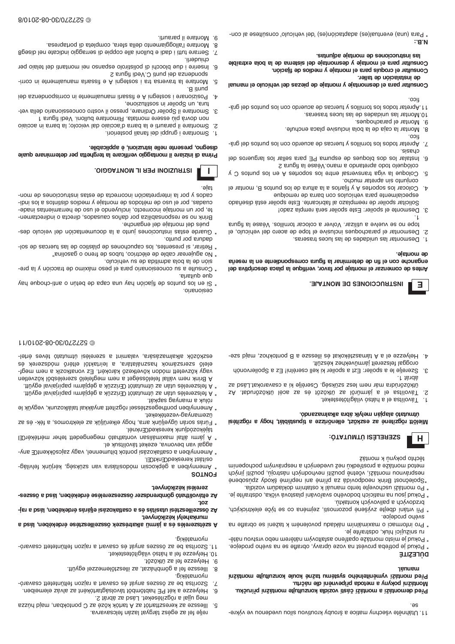11. Utáhněte všechny matice a šrouby kroutivou silou uvedenou ve výkre-

# Montážní elb inénveqivq sbotem s vnyvoq inštinoM. Pred demontaži a montáži části vozidla konzultujte montážní príručku.

**Jeunem** Před montáží vyměnielného systému tažné koule konzultuljte montážní

- **átišaJÚd**
- \* Pokud je potřeba provést na voze úpravy, obratte se na svého prodejce.
- -ěiàn uovianv oden meněiàn mỳvoilatas oneřisqo ežàtnom otaìm ej buxoq \*
- sn eftro informaci o maximálním nákladu povoleném k tažení se obratte na ru snižující hluk, odstraňte je.
- \* Při vrtání dbejte zvýšené pozornosti, zejména co se týče elektrických, svého prodejce.
- . Jekud jsou na maticích bodového svárování plastová víška, odstraňte je. brzdových a palivových kontaktu.
- \* Po montáži uschovejte tento manuál k ostatním dokladům vozidla.
- těchto pokynů k montáž mineqonooq minvisiqean a noddebych a nesprávným pochopenim nesprávnou montáží, včetně použití nevhodných nástrojů, použití jiných \*Společnost Rhink neodpovídá sa přime ami nepřímé škody způsobené

## : OTATUMTÙ ISELERES  $H$

# óbnszamlaxla sıdà xiylem neiqala otatumin liebtisgö s vgod "taldateuqit s essivõnelle "tsöxse ss enetisgö tröleiM

- 
- .texetetòtigàliv òztàrl s le sztilovàT ∴'L
- . † těrdě ütközörúdra már nem lesz szükség. Cserélje ki a csavarokat.Lásd az 14 .trabunosčovitu lės sa se tos tos vitu sa lonumnėj s le setilovis T ج.
- 4. Helyezze el a A tánasztékokát és illessze a B pontokhoz, majd szeoroggal felszerelt jármüvekhez készült. Szerelje le a spoiler: Ezt a spoiler ki kell cserélni! Ez a Spoilervonóh ැ
- 
- eszközök alkalmazására, valamint a szerelési útmutató téves értelelelő szerszámok használatára, a leírtaktól eltérő módszerek és vagy közvetett módon következő károkért. Ez vonatkozik a nem megf-
- 
- 
- 
- 
- 
- A Brink nem vállal felelősséget a nem megfelelő szerelésből közvetlen \* A felszerelés után az útatutót a gépikada magyar halálatára magyütt.
- 
- 
- 
- 
- 
- 
- 
- 
- 

\* A felszerelés után az útazáráb társzint az már a gépisszerel A \*

\* Amennyibed ponthegezeiszei rögzített anyákkal találkozunk, vegyük le

\* Fúrás során ügyeljünk arra, hogy elkerüljük az elektromos, a fék- és az

<sup>\*</sup> A jármi átlal maximálisan vontathato megengedet teher mértékérCEI

\* Amennyiben a csatlakozási pontok bitumennel, vagy zajcsökkentŒ any-

\* Amennyiben a gépkocsin módosításra van szükség, kérjünk felvilág-

Az eltávolítható gömbrendszer össesszerelése érdekében, lásd a összes-

-js1 s beàl nedèxebrè aèsas a csatlakozàsi eliarà édakben, lásd a raj-

A szétserelés és a jármű alkatrészek összeillesztése érdekében, lásd a

-onsveso tretentillet nosist a travaso aè tàvna sessao sa ed astitos .tt

Szorítsa be az összes anyát és csavat a rajzon feltüntett csavaró-

lllessze az kereszttartót az A tartók közé az C pontokban, majd húzza

Helyezze a két PE habtömböt távolságtartóként az alváz elemeiben.

lllessze fel a gömbházat, az illesztőlemezzel együtt.

neg ujjal a rögzítéseket. Lásd az ábrát 2.

relje fel az egész tárgyat lazán felcsavarva.

- 
- 

# 0 527270/30-08-2010/11

# **INSTRUCCIONES DE MONTAJE.**

enganche con el fin de determinar la figura correspondiente en la reseña Antes de comenzar el montaje por favor, verifique la placa descriptiva del

de montaje.

 $\exists$ 

- 1. Desmontar las unidades de las luces traseras.
- tope no se vuelve a utilizar. Volver a colocar tornillos. Véase la figura 2. Desmontar el parachoques inclusive el tope de acero del vehículo, el
- 3. Desmonte el spoiler: Este spoiler será rempla zado! ٠.
- Solicitar spoiler de reemplazo al fabricante. Este spoiler está diseñado
- Golocar los soportes A y fijarlos a la altura de los puntos B, montar el  $\mathbf{\dot{v}}$ especialmente para vehículos con barra de remolque
- Coloque la viga transversal entre los soportes A en los puntos C y ٠ç conjunto sin apretar mucho.
- 6. Instalar los dos bloques de espuma PE para sellar los largueros del S snugit al esaèV onam a obnatenqa obot oleupòloo
- 7. Apretar todos los tonillos y tuercas de acuerdo con los puntos del grásiseup<sup>.</sup>
- **TICO.**
- . Or have a sell by islam and all be is a state of a sell and a sell and an
- 9. Montar el parachoques.
- .esressit esoul asl eb aebabinu asl natnoM.01
- -sig leb sofnuq sol noo obteuse ab ascreta y tollimot sol sobot astengA.11

# .oon

# Consultar para el desmontaje y montaje de piezas del vehículo el manual

# de instalacion de taller.

- Gonsultar para el montaje y desmontaje del sistema de la bola extraíble Consultar el croquis para el montaje y medios de fijación.
- las instrucciones de montale adjuntas.

# ∵a N

- \* Para (una) eventual(es) adaptación(es) 'del vehículo' consúltese al con-
- 9. Montare il paraurti.

punti B.

 $\mathbf{I}$ 

ale:

- 
- Montare l'alloggiamento della sfera, completa di portapresa. ٠g
- <u>. T</u>
- Serrare tutti i dadi e bulloni alle coppie di serraggio indicate nel diseg8
- cunderli.
- 
- 
- 6. Inserire i due blocchi di polistirolo espanso nei montanti del telalo per
- 
- 
- 
- 

5. Montare la traversa tra i sostegni A e fissarla manualmente in corri-

4. Posizionare i sostegni A e firsarii manualmente in corrispondenza dei

# @ 927270/30-06/07510/8







\* No agujerear cable de eléctrico, tubos de freno o gasolina"

# disegno, presente nelle istruzioni, è applicabile. Prima di iniziare il montaggio verificare la terghetta per determinare quale

cados y por la interpretación incorrecta de estas instrucciones de mon-

cuadas, por el uso de métodos de montaje y medios diritistio a los indi-

te, por un montaje incorrecto, incluyendo el uso de herramientas inade-Brink no se responsabiliza por daños causados, directa o indirectamen-

\* Guarde estas instucciones junto a la documentación del veículo des-

\* Retirar, si presentes, los capuchones de plástico de las tuercas de sol-

\* Consulte a su concesionario para el peso máximo de tracción y la pre-

\* Si en los puntos de fijación hay una capa de betún o anti-choque hay

 $\cdot$  i

S snugit ibeV.O itruq ieb ssnebnoqa

tura, un Spoiler in sostituzione,

pués del montaje del enganche.

sión de la bola admitida de su vehículo.

dadura por punto.

que duitarla.

cesionario.

róluk a mianyag sapkát.

üzemanyag-vezetékeket.

ositást kereskedCEnktCEI.

zerelési kézikönyvet.

munkahelyi kezikönyvet.

10. Helyezze fel a hátsó világítótesteket.

**SOLNOE** 

**10Z** 

.8

'∠

.9

٠g

pyomatekig.

nyomatékig.

9. Helyezze fel az ütközőt.

tájékozódjunk kereskedŒnknél.

aggal van bevonva, ezeket távolítsuk el.

- Smontare i gruppi dei fanali posteriori.
- t snugit ibeV .inollud enstnomiR .ststnom enesse úiq śrvob non 2. Smontare il paraurti e la barra d'acciaio dal veicolo; la barra in acciaio
- 
- 3. Smontare il Spoiler Ordinare, presso il vostro concessionario della vet-
- 
-